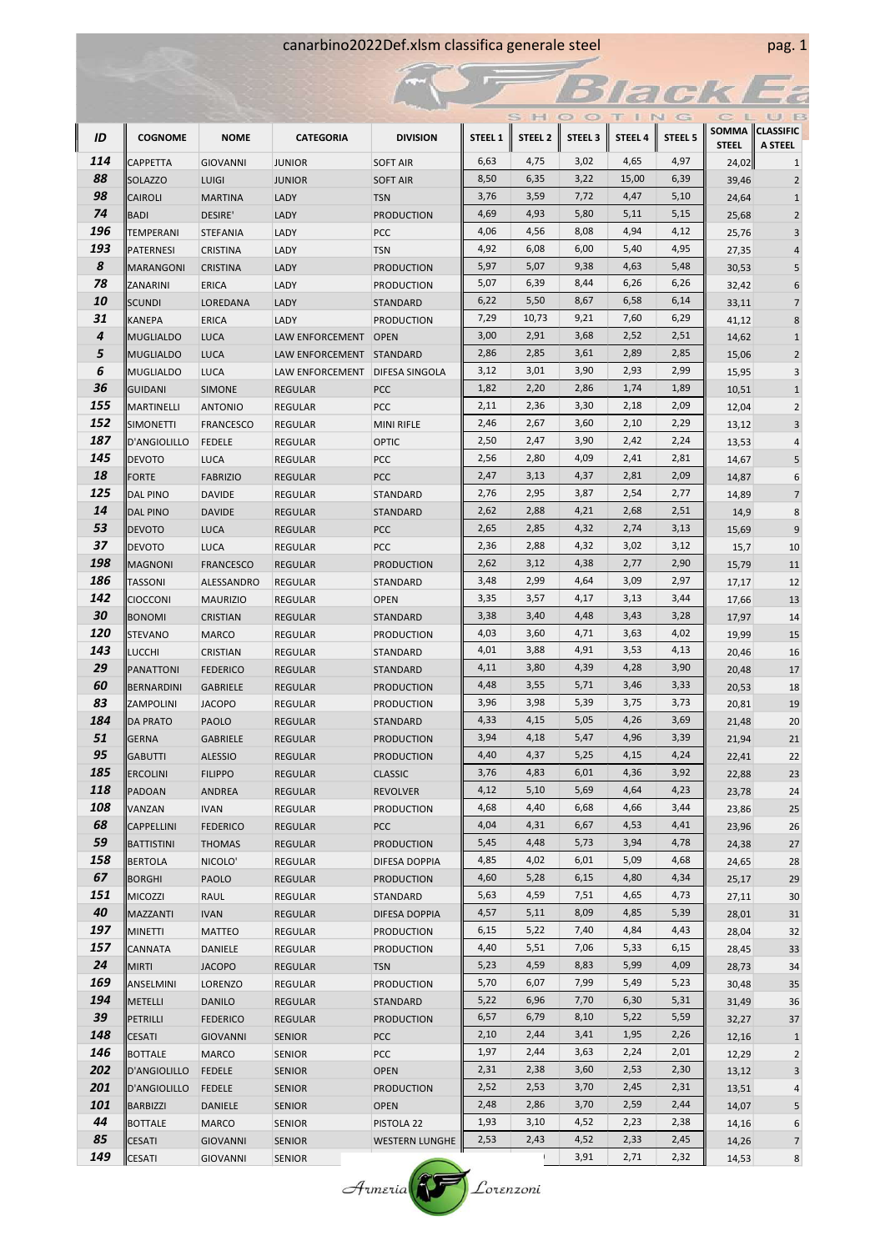## canarbino2022Def.xlsm classifica generale steel pag. 1

|          |                                        |                                  |                                  |                                      |              |                    |                    | Trac         |                    |                |                                   |
|----------|----------------------------------------|----------------------------------|----------------------------------|--------------------------------------|--------------|--------------------|--------------------|--------------|--------------------|----------------|-----------------------------------|
|          |                                        |                                  |                                  |                                      |              | S H                |                    |              | N<br>G             |                | B<br>无限                           |
| ID       | <b>COGNOME</b>                         | <b>NOME</b>                      | <b>CATEGORIA</b>                 | <b>DIVISION</b>                      | STEEL 1      | STEEL <sub>2</sub> | STEEL <sub>3</sub> | STEEL 4      | STEEL <sub>5</sub> | <b>STEEL</b>   | SOMMA CLASSIFIC<br><b>A STEEL</b> |
| 114      | CAPPETTA                               | <b>GIOVANNI</b>                  | <b>JUNIOR</b>                    | <b>SOFT AIR</b>                      | 6,63         | 4,75               | 3,02               | 4,65         | 4,97               | 24,02          | $\mathbf 1$                       |
| 88       | <b>SOLAZZO</b>                         | <b>LUIGI</b>                     | <b>JUNIOR</b>                    | <b>SOFT AIR</b>                      | 8,50         | 6,35               | 3,22               | 15,00        | 6,39               | 39,46          | $\overline{2}$                    |
| 98       | <b>CAIROLI</b>                         | <b>MARTINA</b>                   | LADY                             | <b>TSN</b>                           | 3,76         | 3,59               | 7,72               | 4,47         | 5,10               | 24,64          | $\,1\,$                           |
| 74       | <b>BADI</b>                            | <b>DESIRE'</b>                   | LADY                             | <b>PRODUCTION</b>                    | 4,69         | 4,93               | 5,80               | 5,11         | 5,15               | 25,68          | $\overline{2}$                    |
| 196      | TEMPERANI                              | <b>STEFANIA</b>                  | LADY                             | PCC                                  | 4,06         | 4,56               | 8,08               | 4,94         | 4,12               | 25,76          | 3                                 |
| 193      | PATERNESI                              | <b>CRISTINA</b>                  | LADY                             | <b>TSN</b>                           | 4,92         | 6,08               | 6,00               | 5,40         | 4,95               | 27,35          | $\sqrt{4}$                        |
| 8        | <b>MARANGONI</b>                       | <b>CRISTINA</b>                  | LADY                             | <b>PRODUCTION</b>                    | 5,97         | 5,07               | 9,38               | 4,63         | 5,48               | 30,53          | 5                                 |
| 78       | <b>ZANARINI</b>                        | <b>ERICA</b>                     | LADY                             | <b>PRODUCTION</b>                    | 5,07         | 6,39               | 8,44               | 6,26         | 6,26               | 32,42          | 6                                 |
| 10       | <b>SCUNDI</b>                          | LOREDANA                         | LADY                             | STANDARD                             | 6,22         | 5,50               | 8,67               | 6,58         | 6,14               | 33,11          | $\overline{7}$                    |
| 31       | <b>KANEPA</b>                          | <b>ERICA</b>                     | LADY                             | <b>PRODUCTION</b>                    | 7,29         | 10,73              | 9,21               | 7,60         | 6,29               | 41,12          | 8                                 |
| 4        | <b>MUGLIALDO</b>                       | <b>LUCA</b>                      | LAW ENFORCEMENT                  | <b>OPEN</b>                          | 3,00         | 2,91               | 3,68               | 2,52         | 2,51               | 14,62          | $\mathbf 1$                       |
| 5        | <b>MUGLIALDO</b>                       | <b>LUCA</b>                      | LAW ENFORCEMENT                  | <b>STANDARD</b>                      | 2,86         | 2,85               | 3,61               | 2,89         | 2,85               | 15,06          | $\overline{2}$                    |
| 6        | <b>MUGLIALDO</b>                       | <b>LUCA</b>                      | LAW ENFORCEMENT                  | <b>DIFESA SINGOLA</b>                | 3,12         | 3,01               | 3,90               | 2,93         | 2,99               | 15,95          | 3                                 |
| 36       | <b>GUIDANI</b>                         | <b>SIMONE</b>                    | <b>REGULAR</b>                   | PCC                                  | 1,82         | 2,20               | 2,86               | 1,74         | 1,89               | 10,51          | $\mathbf 1$                       |
| 155      | MARTINELLI                             | <b>ANTONIO</b>                   | <b>REGULAR</b>                   | PCC                                  | 2,11         | 2,36               | 3,30               | 2,18         | 2,09               | 12,04          | $\mathbf 2$                       |
| 152      | <b>SIMONETTI</b>                       | <b>FRANCESCO</b>                 | <b>REGULAR</b>                   | <b>MINI RIFLE</b>                    | 2,46         | 2,67               | 3,60               | 2,10         | 2,29               | 13,12          | 3                                 |
| 187      | D'ANGIOLILLO                           | <b>FEDELE</b>                    | <b>REGULAR</b>                   | <b>OPTIC</b>                         | 2,50         | 2,47               | 3,90               | 2,42         | 2,24               | 13,53          | 4                                 |
| 145      | <b>DEVOTO</b>                          | <b>LUCA</b>                      | <b>REGULAR</b>                   | <b>PCC</b>                           | 2,56         | 2,80               | 4,09               | 2,41         | 2,81               | 14,67          | 5                                 |
| 18       | FORTE                                  | <b>FABRIZIO</b>                  | <b>REGULAR</b>                   | PCC                                  | 2,47         | 3,13               | 4,37               | 2,81         | 2,09               | 14,87          | 6                                 |
| 125      | <b>DAL PINO</b>                        | <b>DAVIDE</b>                    | <b>REGULAR</b>                   | STANDARD                             | 2,76         | 2,95               | 3,87               | 2,54         | 2,77               | 14,89          | $\overline{7}$                    |
| 14       | <b>DAL PINO</b>                        | <b>DAVIDE</b>                    | <b>REGULAR</b>                   | STANDARD                             | 2,62         | 2,88               | 4,21               | 2,68         | 2,51               | 14,9           | 8                                 |
| 53       | <b>DEVOTO</b>                          | <b>LUCA</b>                      | <b>REGULAR</b>                   | <b>PCC</b>                           | 2,65         | 2,85               | 4,32               | 2,74         | 3,13               | 15,69          | 9                                 |
| 37       | <b>DEVOTO</b>                          | <b>LUCA</b>                      | <b>REGULAR</b>                   | PCC                                  | 2,36         | 2,88               | 4,32               | 3,02         | 3,12               | 15,7           | 10                                |
| 198      | MAGNONI                                | <b>FRANCESCO</b>                 | <b>REGULAR</b>                   | <b>PRODUCTION</b>                    | 2,62         | 3,12               | 4,38               | 2,77         | 2,90               | 15,79          | 11                                |
| 186      | TASSONI                                | ALESSANDRO                       | <b>REGULAR</b>                   | STANDARD                             | 3,48         | 2,99               | 4,64               | 3,09         | 2,97               | 17,17          | 12                                |
| 142      | <b>CIOCCONI</b>                        | <b>MAURIZIO</b>                  | <b>REGULAR</b>                   | <b>OPEN</b>                          | 3,35         | 3,57               | 4,17               | 3,13         | 3,44               | 17,66          | 13                                |
| 30       | <b>BONOMI</b>                          | <b>CRISTIAN</b>                  | <b>REGULAR</b>                   | STANDARD                             | 3,38         | 3,40               | 4,48               | 3,43         | 3,28               | 17,97          | 14                                |
| 120      | <b>STEVANO</b>                         | <b>MARCO</b>                     | <b>REGULAR</b>                   | <b>PRODUCTION</b>                    | 4,03         | 3,60               | 4,71               | 3,63         | 4,02               | 19,99          | 15                                |
| 143      | <b>LUCCHI</b>                          | <b>CRISTIAN</b>                  | <b>REGULAR</b>                   | STANDARD                             | 4,01         | 3,88               | 4,91               | 3,53         | 4,13               | 20,46          | 16                                |
| 29       | PANATTONI                              | <b>FEDERICO</b>                  | <b>REGULAR</b>                   | <b>STANDARD</b>                      | 4,11         | 3,80               | 4,39               | 4,28         | 3,90               | 20,48          | 17                                |
| 60       | <b>BERNARDINI</b>                      | <b>GABRIELE</b>                  | <b>REGULAR</b>                   | <b>PRODUCTION</b>                    | 4,48         | 3,55               | 5,71               | 3,46         | 3,33               | 20,53          | 18                                |
| 83       | ZAMPOLINI                              | <b>JACOPO</b>                    | <b>REGULAR</b>                   | <b>PRODUCTION</b>                    | 3,96         | 3,98               | 5,39               | 3,75         | 3,73               | 20,81          | 19                                |
| 184      | <b>DA PRATO</b>                        | <b>PAOLO</b>                     | <b>REGULAR</b>                   | STANDARD                             | 4,33         | 4,15               | 5,05               | 4,26         | 3,69               | 21,48          | 20                                |
| 51<br>95 | GERNA                                  | <b>GABRIELE</b>                  | REGULAR                          | <b>PRODUCTION</b>                    | 3,94<br>4,40 | 4,18<br>4,37       | 5,47<br>5,25       | 4,96<br>4,15 | 3,39<br>4,24       | 21,94          | 21                                |
| 185      | <b>GABUTTI</b>                         | <b>ALESSIO</b>                   | <b>REGULAR</b>                   | <b>PRODUCTION</b>                    | 3,76         | 4,83               | 6,01               | 4,36         | 3,92               | 22,41          | 22                                |
| 118      | <b>ERCOLINI</b>                        | <b>FILIPPO</b>                   | <b>REGULAR</b>                   | <b>CLASSIC</b>                       | 4,12         | 5,10               | 5,69               | 4,64         | 4,23               | 22,88          | 23                                |
| 108      | PADOAN                                 | ANDREA                           | <b>REGULAR</b>                   | <b>REVOLVER</b><br><b>PRODUCTION</b> | 4,68         | 4,40               | 6,68               | 4,66         | 3,44               | 23,78          | 24                                |
| 68       | VANZAN                                 | <b>IVAN</b>                      | <b>REGULAR</b>                   |                                      | 4,04         | 4,31               | 6,67               | 4,53         | 4,41               | 23,86          | 25                                |
| 59       | <b>CAPPELLINI</b><br><b>BATTISTINI</b> | <b>FEDERICO</b><br><b>THOMAS</b> | <b>REGULAR</b><br><b>REGULAR</b> | <b>PCC</b><br><b>PRODUCTION</b>      | 5,45         | 4,48               | 5,73               | 3,94         | 4,78               | 23,96<br>24,38 | 26<br>27                          |
| 158      | <b>BERTOLA</b>                         | NICOLO'                          | <b>REGULAR</b>                   | DIFESA DOPPIA                        | 4,85         | 4,02               | 6,01               | 5,09         | 4,68               | 24,65          | 28                                |
| 67       | <b>BORGHI</b>                          | <b>PAOLO</b>                     | <b>REGULAR</b>                   | <b>PRODUCTION</b>                    | 4,60         | 5,28               | 6,15               | 4,80         | 4,34               | 25,17          | 29                                |
| 151      | <b>MICOZZI</b>                         | RAUL                             | REGULAR                          | STANDARD                             | 5,63         | 4,59               | 7,51               | 4,65         | 4,73               | 27,11          | 30                                |
| 40       | MAZZANTI                               | <b>IVAN</b>                      | <b>REGULAR</b>                   | <b>DIFESA DOPPIA</b>                 | 4,57         | 5,11               | 8,09               | 4,85         | 5,39               | 28,01          | 31                                |
| 197      | <b>MINETTI</b>                         | MATTEO                           | REGULAR                          | <b>PRODUCTION</b>                    | 6,15         | 5,22               | 7,40               | 4,84         | 4,43               | 28,04          | 32                                |
| 157      | CANNATA                                | DANIELE                          | REGULAR                          | <b>PRODUCTION</b>                    | 4,40         | 5,51               | 7,06               | 5,33         | 6,15               | 28,45          | 33                                |
| 24       | <b>MIRTI</b>                           | <b>JACOPO</b>                    | REGULAR                          | <b>TSN</b>                           | 5,23         | 4,59               | 8,83               | 5,99         | 4,09               | 28,73          | 34                                |
| 169      | ANSELMINI                              | <b>LORENZO</b>                   | REGULAR                          | <b>PRODUCTION</b>                    | 5,70         | 6,07               | 7,99               | 5,49         | 5,23               | 30,48          | 35                                |
| 194      | METELLI                                | <b>DANILO</b>                    | <b>REGULAR</b>                   | STANDARD                             | 5,22         | 6,96               | 7,70               | 6,30         | 5,31               | 31,49          | 36                                |
| 39       | PETRILLI                               | <b>FEDERICO</b>                  | <b>REGULAR</b>                   | <b>PRODUCTION</b>                    | 6,57         | 6,79               | 8,10               | 5,22         | 5,59               | 32,27          | 37                                |
| 148      | <b>CESATI</b>                          | <b>GIOVANNI</b>                  | <b>SENIOR</b>                    | <b>PCC</b>                           | 2,10         | 2,44               | 3,41               | 1,95         | 2,26               | 12,16          | $\mathbf{1}$                      |
| 146      | <b>BOTTALE</b>                         | <b>MARCO</b>                     | <b>SENIOR</b>                    | <b>PCC</b>                           | 1,97         | 2,44               | 3,63               | 2,24         | 2,01               | 12,29          | $\overline{2}$                    |
| 202      | D'ANGIOLILLO                           | <b>FEDELE</b>                    | <b>SENIOR</b>                    | <b>OPEN</b>                          | 2,31         | 2,38               | 3,60               | 2,53         | 2,30               | 13,12          | 3                                 |
| 201      | D'ANGIOLILLO                           | <b>FEDELE</b>                    | <b>SENIOR</b>                    | <b>PRODUCTION</b>                    | 2,52         | 2,53               | 3,70               | 2,45         | 2,31               | 13,51          | 4                                 |
| 101      | BARBIZZI                               | DANIELE                          | <b>SENIOR</b>                    | <b>OPEN</b>                          | 2,48         | 2,86               | 3,70               | 2,59         | 2,44               | 14,07          | $5\overline{)}$                   |
| 44       | BOTTALE                                | <b>MARCO</b>                     | <b>SENIOR</b>                    | PISTOLA 22                           | 1,93         | 3,10               | 4,52               | 2,23         | 2,38               | 14,16          | 6                                 |
| 85       | <b>CESATI</b>                          | <b>GIOVANNI</b>                  | <b>SENIOR</b>                    | <b>WESTERN LUNGHE</b>                | 2,53         | 2,43               | 4,52               | 2,33         | 2,45               | 14,26          | $\overline{7}$                    |
| 149      | <b>CESATI</b>                          | <b>GIOVANNI</b>                  | SENIOR                           |                                      |              |                    | 3,91               | 2,71         | 2,32               | 14,53          | $\bf 8$                           |

Armeria Lorenzoni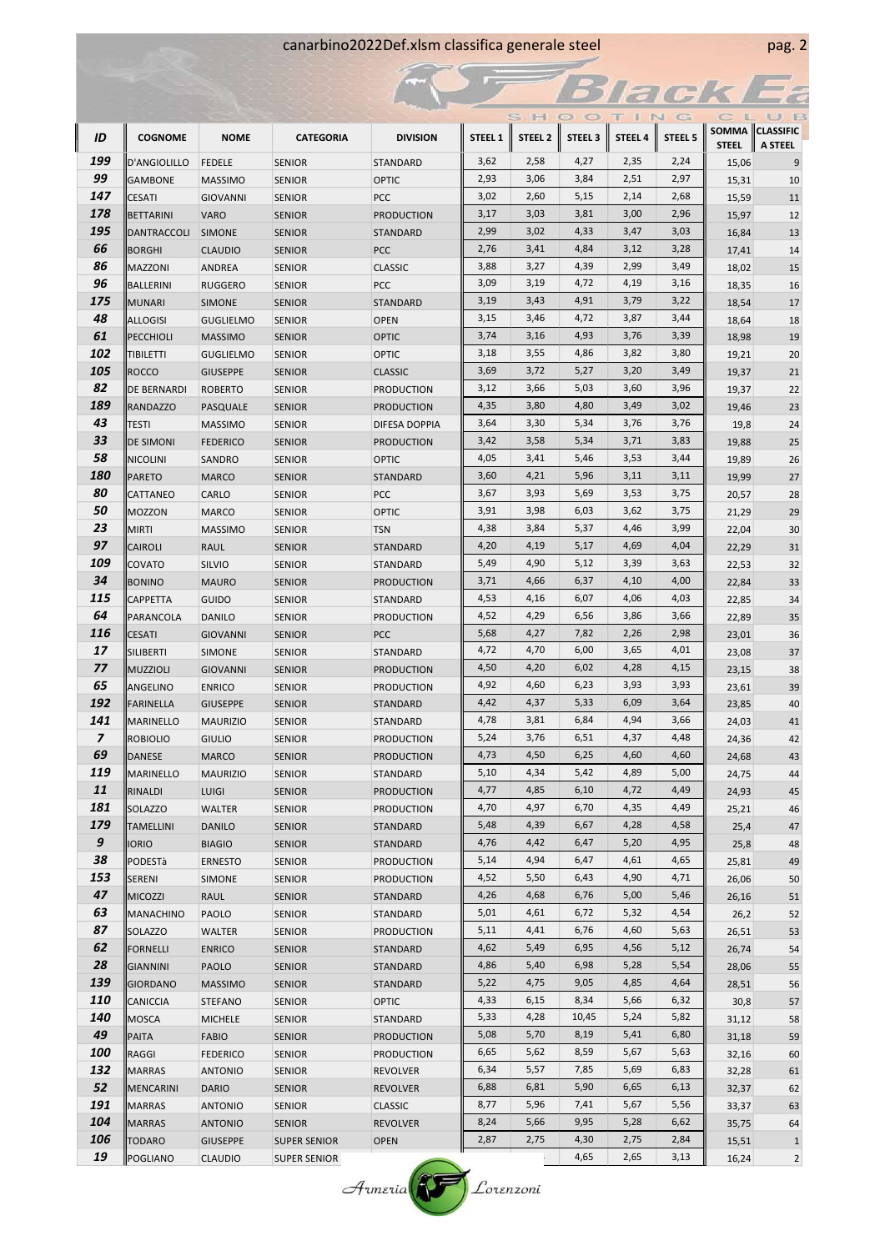## canarbino2022Def.xlsm classifica generale steel pag. 2

|            |                              |                                   |                                |                                      |              |                    |                 | <b>Slare</b> |                    |                       |                     |
|------------|------------------------------|-----------------------------------|--------------------------------|--------------------------------------|--------------|--------------------|-----------------|--------------|--------------------|-----------------------|---------------------|
|            |                              |                                   |                                |                                      |              | S HI               | $\circ$ $\circ$ | ×            | NG                 | E.                    | U B                 |
| ID         | <b>COGNOME</b>               | <b>NOME</b>                       | <b>CATEGORIA</b>               | <b>DIVISION</b>                      | STEEL 1      | STEEL <sub>2</sub> | <b>STEEL 3</b>  | STEEL 4      | STEEL <sub>5</sub> |                       | SOMMA CLASSIFIC     |
| 199        | D'ANGIOLILLO                 | <b>FEDELE</b>                     | <b>SENIOR</b>                  | STANDARD                             | 3,62         | 2,58               | 4,27            | 2,35         | 2,24               | <b>STEEL</b><br>15,06 | <b>A STEEL</b><br>9 |
| 99         | <b>GAMBONE</b>               | <b>MASSIMO</b>                    | <b>SENIOR</b>                  | <b>OPTIC</b>                         | 2,93         | 3,06               | 3,84            | 2,51         | 2,97               | 15,31                 | 10                  |
| 147        | <b>CESATI</b>                | <b>GIOVANNI</b>                   | <b>SENIOR</b>                  | PCC                                  | 3,02         | 2,60               | 5,15            | 2,14         | 2,68               | 15,59                 | 11                  |
| 178        | <b>BETTARINI</b>             | <b>VARO</b>                       | <b>SENIOR</b>                  | <b>PRODUCTION</b>                    | 3,17         | 3,03               | 3,81            | 3,00         | 2,96               | 15,97                 | 12                  |
| 195        | DANTRACCOLI                  | <b>SIMONE</b>                     | <b>SENIOR</b>                  | <b>STANDARD</b>                      | 2,99         | 3,02               | 4,33            | 3,47         | 3,03               | 16,84                 | 13                  |
| 66         | <b>BORGHI</b>                | <b>CLAUDIO</b>                    | <b>SENIOR</b>                  | PCC                                  | 2,76         | 3,41               | 4,84            | 3,12         | 3,28               | 17,41                 | 14                  |
| 86         | <b>MAZZONI</b>               | <b>ANDREA</b>                     | <b>SENIOR</b>                  | <b>CLASSIC</b>                       | 3,88         | 3,27               | 4,39            | 2,99         | 3,49               | 18,02                 | 15                  |
| 96         | BALLERINI                    | <b>RUGGERO</b>                    | <b>SENIOR</b>                  | PCC                                  | 3,09         | 3,19               | 4,72            | 4,19         | 3,16               | 18,35                 | 16                  |
| 175        | <b>MUNARI</b>                | <b>SIMONE</b>                     | <b>SENIOR</b>                  | STANDARD                             | 3,19         | 3,43               | 4,91            | 3,79         | 3,22               | 18,54                 | 17                  |
| 48         | <b>ALLOGISI</b>              | <b>GUGLIELMO</b>                  | <b>SENIOR</b>                  | <b>OPEN</b>                          | 3,15         | 3,46               | 4,72            | 3,87         | 3,44               | 18,64                 | 18                  |
| 61         | PECCHIOLI                    | <b>MASSIMO</b>                    | <b>SENIOR</b>                  | <b>OPTIC</b>                         | 3,74         | 3,16               | 4,93            | 3,76         | 3,39               | 18,98                 | 19                  |
| 102        | TIBILETTI                    | <b>GUGLIELMO</b>                  | <b>SENIOR</b>                  | <b>OPTIC</b>                         | 3,18         | 3,55               | 4,86            | 3,82         | 3,80               | 19,21                 | 20                  |
| 105        | <b>ROCCO</b>                 | <b>GIUSEPPE</b>                   | <b>SENIOR</b>                  | <b>CLASSIC</b>                       | 3,69         | 3,72               | 5,27            | 3,20         | 3,49               | 19,37                 | 21                  |
| 82         | DE BERNARDI                  | <b>ROBERTO</b>                    | <b>SENIOR</b>                  | <b>PRODUCTION</b>                    | 3,12         | 3,66               | 5,03            | 3,60         | 3,96               | 19,37                 | 22                  |
| 189        | <b>RANDAZZO</b>              | PASQUALE                          | <b>SENIOR</b>                  | <b>PRODUCTION</b>                    | 4,35         | 3,80               | 4,80            | 3,49         | 3,02               | 19,46                 | 23                  |
| 43         | TESTI                        | <b>MASSIMO</b>                    | <b>SENIOR</b>                  | DIFESA DOPPIA                        | 3,64         | 3,30               | 5,34            | 3,76         | 3,76               | 19,8                  | 24                  |
| 33         | <b>DE SIMONI</b>             | <b>FEDERICO</b>                   | <b>SENIOR</b>                  | <b>PRODUCTION</b>                    | 3,42         | 3,58               | 5,34            | 3,71         | 3,83               | 19,88                 | 25                  |
| 58         | <b>NICOLINI</b>              | SANDRO                            | <b>SENIOR</b>                  | OPTIC                                | 4,05         | 3,41               | 5,46            | 3,53         | 3,44               | 19,89                 | 26                  |
| 180        | <b>PARETO</b>                | <b>MARCO</b>                      | <b>SENIOR</b>                  | STANDARD                             | 3,60         | 4,21               | 5,96            | 3,11         | 3,11               | 19,99                 | 27                  |
| 80         | CATTANEO                     | CARLO                             | <b>SENIOR</b>                  | PCC                                  | 3,67         | 3,93               | 5,69            | 3,53         | 3,75               | 20,57                 | 28                  |
| 50         | MOZZON                       | <b>MARCO</b>                      | <b>SENIOR</b>                  | <b>OPTIC</b>                         | 3,91         | 3,98               | 6,03            | 3,62         | 3,75               | 21,29                 | 29                  |
| 23         | MIRTI                        | <b>MASSIMO</b>                    | <b>SENIOR</b>                  | <b>TSN</b>                           | 4,38         | 3,84               | 5,37            | 4,46         | 3,99               | 22,04                 | 30                  |
| 97<br>109  | CAIROLI                      | <b>RAUL</b>                       | <b>SENIOR</b>                  | STANDARD                             | 4,20         | 4,19<br>4,90       | 5,17            | 4,69         | 4,04               | 22,29                 | 31                  |
| 34         | COVATO                       | SILVIO                            | <b>SENIOR</b>                  | STANDARD                             | 5,49<br>3,71 | 4,66               | 5,12<br>6,37    | 3,39<br>4,10 | 3,63<br>4,00       | 22,53                 | 32                  |
| 115        | <b>BONINO</b>                | <b>MAURO</b>                      | <b>SENIOR</b>                  | <b>PRODUCTION</b>                    | 4,53         | 4,16               | 6,07            | 4,06         | 4,03               | 22,84                 | 33                  |
| 64         | <b>CAPPETTA</b><br>PARANCOLA | <b>GUIDO</b><br><b>DANILO</b>     | <b>SENIOR</b><br><b>SENIOR</b> | STANDARD<br><b>PRODUCTION</b>        | 4,52         | 4,29               | 6,56            | 3,86         | 3,66               | 22,85                 | 34<br>35            |
| 116        | <b>CESATI</b>                | <b>GIOVANNI</b>                   | <b>SENIOR</b>                  | PCC                                  | 5,68         | 4,27               | 7,82            | 2,26         | 2,98               | 22,89<br>23,01        | 36                  |
| 17         | SILIBERTI                    | <b>SIMONE</b>                     | <b>SENIOR</b>                  | STANDARD                             | 4,72         | 4,70               | 6,00            | 3,65         | 4,01               | 23,08                 | 37                  |
| 77         | <b>MUZZIOLI</b>              | <b>GIOVANNI</b>                   | <b>SENIOR</b>                  | <b>PRODUCTION</b>                    | 4,50         | 4,20               | 6,02            | 4,28         | 4,15               | 23,15                 | 38                  |
| 65         | ANGELINO                     | <b>ENRICO</b>                     | <b>SENIOR</b>                  | <b>PRODUCTION</b>                    | 4,92         | 4,60               | 6,23            | 3,93         | 3,93               | 23,61                 | 39                  |
| 192        | FARINELLA                    | <b>GIUSEPPE</b>                   | <b>SENIOR</b>                  | <b>STANDARD</b>                      | 4,42         | 4,37               | 5,33            | 6,09         | 3,64               | 23,85                 | 40                  |
| 141        | MARINELLO                    | <b>MAURIZIO</b>                   | <b>SENIOR</b>                  | STANDARD                             | 4,78         | 3,81               | 6,84            | 4,94         | 3,66               | 24,03                 | 41                  |
| 7          | <b>ROBIOLIO</b>              | GIULIO                            | <b>SENIOR</b>                  | <b>PRODUCTION</b>                    | 5,24         | 3,76               | 6,51            | 4,37         | 4,48               | 24,36                 | 42                  |
| 69         | <b>DANESE</b>                | <b>MARCO</b>                      | <b>SENIOR</b>                  | <b>PRODUCTION</b>                    | 4,73         | 4,50               | 6,25            | 4,60         | 4,60               | 24,68                 | 43                  |
| 119        | <b>MARINELLO</b>             | <b>MAURIZIO</b>                   | <b>SENIOR</b>                  | STANDARD                             | 5,10         | 4,34               | 5,42            | 4,89         | 5,00               | 24,75                 | 44                  |
| 11         | RINALDI                      | <b>LUIGI</b>                      | <b>SENIOR</b>                  | <b>PRODUCTION</b>                    | 4,77         | 4,85               | 6,10            | 4,72         | 4,49               | 24,93                 | 45                  |
| 181        | SOLAZZO                      | <b>WALTER</b>                     | <b>SENIOR</b>                  | <b>PRODUCTION</b>                    | 4,70         | 4,97               | 6,70            | 4,35         | 4,49               | 25,21                 | 46                  |
| 179        | <b>TAMELLINI</b>             | <b>DANILO</b>                     | <b>SENIOR</b>                  | STANDARD                             | 5,48         | 4,39               | 6,67            | 4,28         | 4,58               | 25,4                  | 47                  |
| 9          | <b>IORIO</b>                 | <b>BIAGIO</b>                     | <b>SENIOR</b>                  | STANDARD                             | 4,76         | 4,42               | 6,47            | 5,20         | 4,95               | 25,8                  | 48                  |
| 38         | PODESTà                      | <b>ERNESTO</b>                    | <b>SENIOR</b>                  | <b>PRODUCTION</b>                    | 5,14         | 4,94               | 6,47            | 4,61         | 4,65               | 25,81                 | 49                  |
| 153        | <b>SERENI</b>                | SIMONE                            | <b>SENIOR</b>                  | <b>PRODUCTION</b>                    | 4,52         | 5,50               | 6,43            | 4,90         | 4,71               | 26,06                 | 50                  |
| 47         | <b>MICOZZI</b>               | RAUL                              | <b>SENIOR</b>                  | <b>STANDARD</b>                      | 4,26         | 4,68               | 6,76            | 5,00         | 5,46               | 26,16                 | 51                  |
| 63         | MANACHINO                    | PAOLO                             | <b>SENIOR</b>                  | STANDARD                             | 5,01         | 4,61               | 6,72            | 5,32         | 4,54               | 26,2                  | 52                  |
| 87         | SOLAZZO                      | WALTER                            | <b>SENIOR</b>                  | <b>PRODUCTION</b>                    | 5,11         | 4,41               | 6,76            | 4,60         | 5,63               | 26,51                 | 53                  |
| 62         | <b>FORNELLI</b>              | <b>ENRICO</b>                     | <b>SENIOR</b>                  | STANDARD                             | 4,62         | 5,49               | 6,95            | 4,56         | 5,12               | 26,74                 | 54                  |
| 28         | <b>GIANNINI</b>              | <b>PAOLO</b>                      | <b>SENIOR</b>                  | STANDARD                             | 4,86         | 5,40               | 6,98            | 5,28         | 5,54               | 28,06                 | 55                  |
| 139<br>110 | <b>GIORDANO</b>              | <b>MASSIMO</b>                    | <b>SENIOR</b>                  | STANDARD                             | 5,22         | 4,75               | 9,05            | 4,85         | 4,64               | 28,51                 | 56                  |
| 140        | CANICCIA                     | <b>STEFANO</b>                    | <b>SENIOR</b>                  | OPTIC                                | 4,33<br>5,33 | 6,15<br>4,28       | 8,34<br>10,45   | 5,66<br>5,24 | 6,32<br>5,82       | 30,8                  | 57                  |
| 49         | <b>MOSCA</b>                 | <b>MICHELE</b>                    | <b>SENIOR</b>                  | STANDARD                             | 5,08         | 5,70               | 8,19            | 5,41         | 6,80               | 31,12                 | 58<br>59            |
| 100        | PAITA                        | <b>FABIO</b>                      | <b>SENIOR</b>                  | <b>PRODUCTION</b>                    | 6,65         | 5,62               | 8,59            | 5,67         | 5,63               | 31,18                 |                     |
| 132        | RAGGI<br><b>MARRAS</b>       | <b>FEDERICO</b><br><b>ANTONIO</b> | <b>SENIOR</b><br><b>SENIOR</b> | <b>PRODUCTION</b><br><b>REVOLVER</b> | 6,34         | 5,57               | 7,85            | 5,69         | 6,83               | 32,16<br>32,28        | 60<br>61            |
| 52         | MENCARINI                    | <b>DARIO</b>                      | <b>SENIOR</b>                  | REVOLVER                             | 6,88         | 6,81               | 5,90            | 6,65         | 6,13               | 32,37                 | 62                  |
| 191        | <b>MARRAS</b>                | <b>ANTONIO</b>                    | <b>SENIOR</b>                  | <b>CLASSIC</b>                       | 8,77         | 5,96               | 7,41            | 5,67         | 5,56               | 33,37                 | 63                  |
| 104        | <b>MARRAS</b>                | <b>ANTONIO</b>                    | <b>SENIOR</b>                  | <b>REVOLVER</b>                      | 8,24         | 5,66               | 9,95            | 5,28         | 6,62               | 35,75                 | 64                  |
| 106        | <b>TODARO</b>                | <b>GIUSEPPE</b>                   | <b>SUPER SENIOR</b>            | <b>OPEN</b>                          | 2,87         | 2,75               | 4,30            | 2,75         | 2,84               | 15,51                 | $\mathbf{1}$        |
| 19         | POGLIANO                     | <b>CLAUDIO</b>                    | <b>SUPER SENIOR</b>            |                                      |              |                    | 4,65            | 2,65         | 3,13               | 16,24                 | $\overline{2}$      |
|            |                              |                                   |                                |                                      |              |                    |                 |              |                    |                       |                     |

Armeria Corenzoni